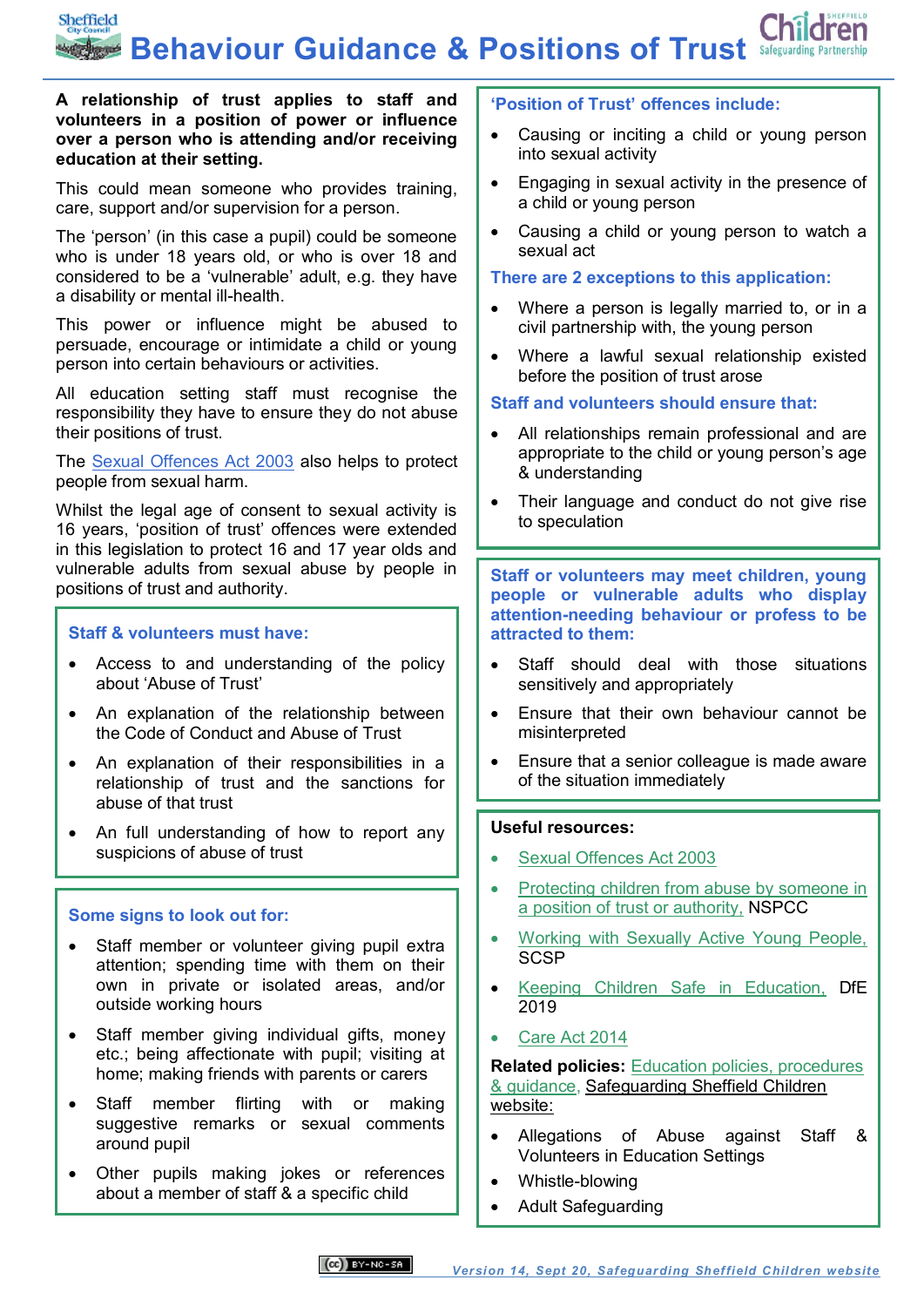Sheffield **Behaviour Guidance & Positions of Trust** Safeguarding Partnership

#### **A relationship of trust applies to staff and volunteers in a position of power or influence over a person who is attending and/or receiving education at their setting.**

This could mean someone who provides training, care, support and/or supervision for a person.

The 'person' (in this case a pupil) could be someone who is under 18 years old, or who is over 18 and considered to be a 'vulnerable' adult, e.g. they have a disability or mental ill-health.

This power or influence might be abused to persuade, encourage or intimidate a child or young person into certain behaviours or activities.

All education setting staff must recognise the responsibility they have to ensure they do not abuse their positions of trust.

The [Sexual Offences Act 2003](http://www.legislation.gov.uk/ukpga/2003/42/contents) also helps to protect people from sexual harm.

Whilst the legal age of consent to sexual activity is 16 years, 'position of trust' offences were extended in this legislation to protect 16 and 17 year olds and vulnerable adults from sexual abuse by people in positions of trust and authority.

#### **Staff & volunteers must have:**

- Access to and understanding of the policy about 'Abuse of Trust'
- An explanation of the relationship between the Code of Conduct and Abuse of Trust
- An explanation of their responsibilities in a relationship of trust and the sanctions for abuse of that trust
- An full understanding of how to report any suspicions of abuse of trust

#### **Some signs to look out for:**

- Staff member or volunteer giving pupil extra attention; spending time with them on their own in private or isolated areas, and/or outside working hours
- Staff member giving individual gifts, money etc.; being affectionate with pupil; visiting at home; making friends with parents or carers
- Staff member flirting with or making suggestive remarks or sexual comments around pupil
- Other pupils making jokes or references about a member of staff & a specific child

#### **'Position of Trust' offences include:**

- Causing or inciting a child or young person into sexual activity
- Engaging in sexual activity in the presence of a child or young person
- Causing a child or young person to watch a sexual act

#### **There are 2 exceptions to this application:**

- Where a person is legally married to, or in a civil partnership with, the young person
- Where a lawful sexual relationship existed before the position of trust arose

#### **Staff and volunteers should ensure that:**

- All relationships remain professional and are appropriate to the child or young person's age & understanding
- Their language and conduct do not give rise to speculation

**Staff or volunteers may meet children, young people or vulnerable adults who display attention-needing behaviour or profess to be attracted to them:**

- Staff should deal with those situations sensitively and appropriately
- Ensure that their own behaviour cannot be misinterpreted
- Ensure that a senior colleague is made aware of the situation immediately

#### **Useful resources:**

- [Sexual Offences Act 2003](http://www.legislation.gov.uk/ukpga/2003/42/contents)
- [Protecting children from abuse by someone in](https://learning.nspcc.org.uk/research-resources/briefings/preventing-abuse-positions-of-trust)  [a position of trust or authority,](https://learning.nspcc.org.uk/research-resources/briefings/preventing-abuse-positions-of-trust) NSPCC
- [Working with Sexually Active Young People,](https://sheffieldscb.proceduresonline.com/p_work_sex.html?zoom_highlight=trust) **[SCSP](https://sheffieldscb.proceduresonline.com/p_work_sex.html?zoom_highlight=trust)**
- [Keeping Children Safe in Education,](https://www.gov.uk/government/publications/keeping-children-safe-in-education--2) DfE 2019
- [Care Act 2014](http://www.legislation.gov.uk/ukpga/2014/23/part/1/crossheading/safeguarding-adults-at-risk-of-abuse-or-neglect/enacted)

**Related policies:** [Education policies, procedures](https://www.safeguardingsheffieldchildren.org/sscb/education/policies-procedures)  [& guidance,](https://www.safeguardingsheffieldchildren.org/sscb/education/policies-procedures) Safeguarding Sheffield Children website:

- Allegations of Abuse against Staff & Volunteers in Education Settings
- Whistle-blowing
- Adult Safeguarding